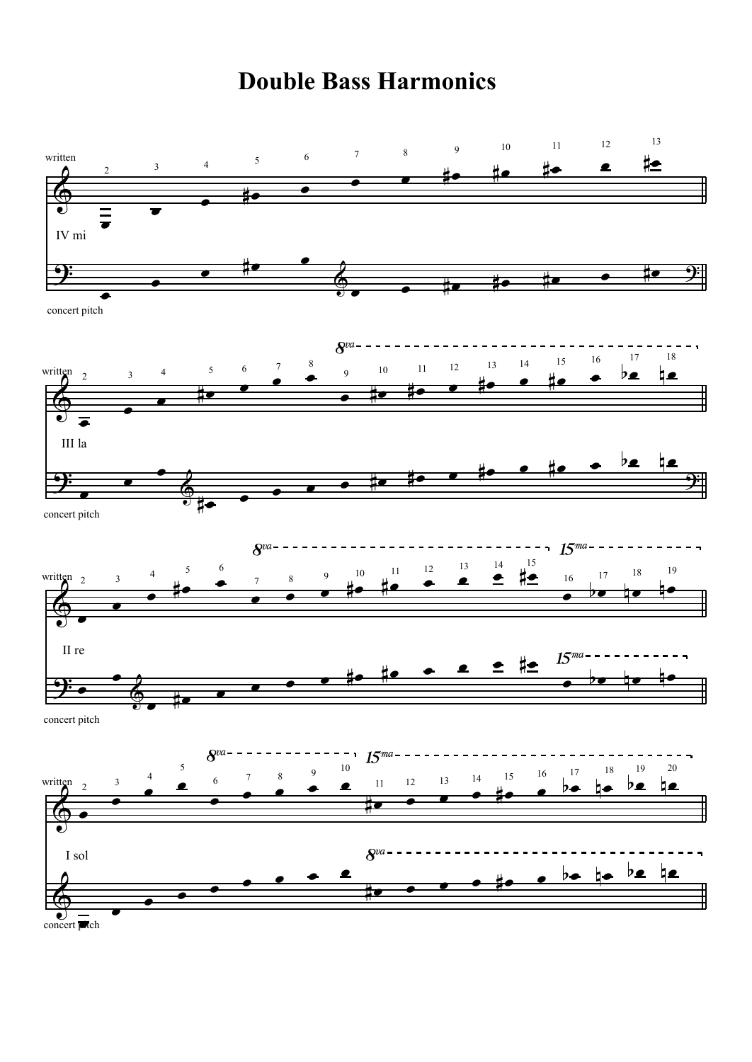## **Double Bass Harmonics**